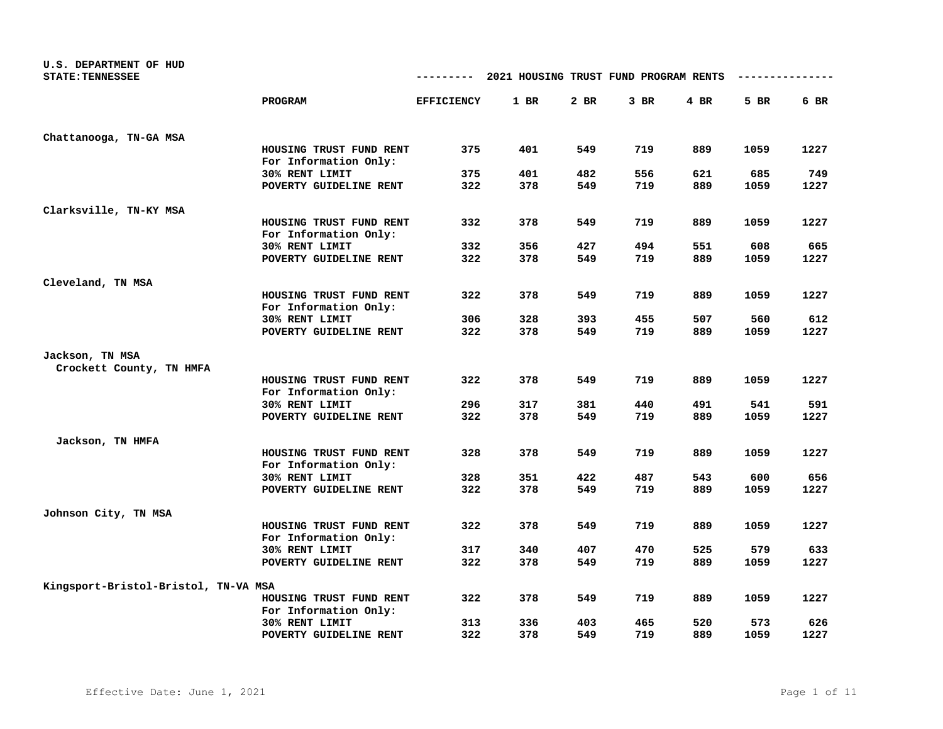| U.S. DEPARTMENT OF HUD<br><b>STATE: TENNESSEE</b> |                                                  | ---------         | 2021 HOUSING TRUST FUND PROGRAM RENTS |      |        |        |      |      |
|---------------------------------------------------|--------------------------------------------------|-------------------|---------------------------------------|------|--------|--------|------|------|
|                                                   | PROGRAM                                          | <b>EFFICIENCY</b> | 1 BR                                  | 2 BR | $3$ BR | $4$ BR | 5 BR | 6 BR |
| Chattanooga, TN-GA MSA                            |                                                  |                   |                                       |      |        |        |      |      |
|                                                   | HOUSING TRUST FUND RENT<br>For Information Only: | 375               | 401                                   | 549  | 719    | 889    | 1059 | 1227 |
|                                                   | 30% RENT LIMIT                                   | 375               | 401                                   | 482  | 556    | 621    | 685  | 749  |
|                                                   | POVERTY GUIDELINE RENT                           | 322               | 378                                   | 549  | 719    | 889    | 1059 | 1227 |
| Clarksville, TN-KY MSA                            |                                                  |                   |                                       |      |        |        |      |      |
|                                                   | HOUSING TRUST FUND RENT<br>For Information Only: | 332               | 378                                   | 549  | 719    | 889    | 1059 | 1227 |
|                                                   | 30% RENT LIMIT                                   | 332               | 356                                   | 427  | 494    | 551    | 608  | 665  |
|                                                   | POVERTY GUIDELINE RENT                           | 322               | 378                                   | 549  | 719    | 889    | 1059 | 1227 |
|                                                   |                                                  |                   |                                       |      |        |        |      |      |
| Cleveland, TN MSA                                 | HOUSING TRUST FUND RENT<br>For Information Only: | 322               | 378                                   | 549  | 719    | 889    | 1059 | 1227 |
|                                                   | 30% RENT LIMIT                                   | 306               | 328                                   | 393  | 455    | 507    | 560  | 612  |
|                                                   | POVERTY GUIDELINE RENT                           | 322               | 378                                   | 549  | 719    | 889    | 1059 | 1227 |
| Jackson, TN MSA<br>Crockett County, TN HMFA       |                                                  |                   |                                       |      |        |        |      |      |
|                                                   | HOUSING TRUST FUND RENT<br>For Information Only: | 322               | 378                                   | 549  | 719    | 889    | 1059 | 1227 |
|                                                   | 30% RENT LIMIT                                   | 296               | 317                                   | 381  | 440    | 491    | 541  | 591  |
|                                                   | POVERTY GUIDELINE RENT                           | 322               | 378                                   | 549  | 719    | 889    | 1059 | 1227 |
| Jackson, TN HMFA                                  |                                                  |                   |                                       |      |        |        |      |      |
|                                                   | HOUSING TRUST FUND RENT<br>For Information Only: | 328               | 378                                   | 549  | 719    | 889    | 1059 | 1227 |
|                                                   | 30% RENT LIMIT                                   | 328               | 351                                   | 422  | 487    | 543    | 600  | 656  |
|                                                   | POVERTY GUIDELINE RENT                           | 322               | 378                                   | 549  | 719    | 889    | 1059 | 1227 |
| Johnson City, TN MSA                              |                                                  |                   |                                       |      |        |        |      |      |
|                                                   | HOUSING TRUST FUND RENT<br>For Information Only: | 322               | 378                                   | 549  | 719    | 889    | 1059 | 1227 |
|                                                   | 30% RENT LIMIT                                   | 317               | 340                                   | 407  | 470    | 525    | 579  | 633  |
|                                                   | POVERTY GUIDELINE RENT                           | 322               | 378                                   | 549  | 719    | 889    | 1059 | 1227 |
| Kingsport-Bristol-Bristol, TN-VA MSA              |                                                  |                   |                                       |      |        |        |      |      |
|                                                   | HOUSING TRUST FUND RENT<br>For Information Only: | 322               | 378                                   | 549  | 719    | 889    | 1059 | 1227 |
|                                                   | 30% RENT LIMIT                                   | 313               | 336                                   | 403  | 465    | 520    | 573  | 626  |
|                                                   | POVERTY GUIDELINE RENT                           | 322               | 378                                   | 549  | 719    | 889    | 1059 | 1227 |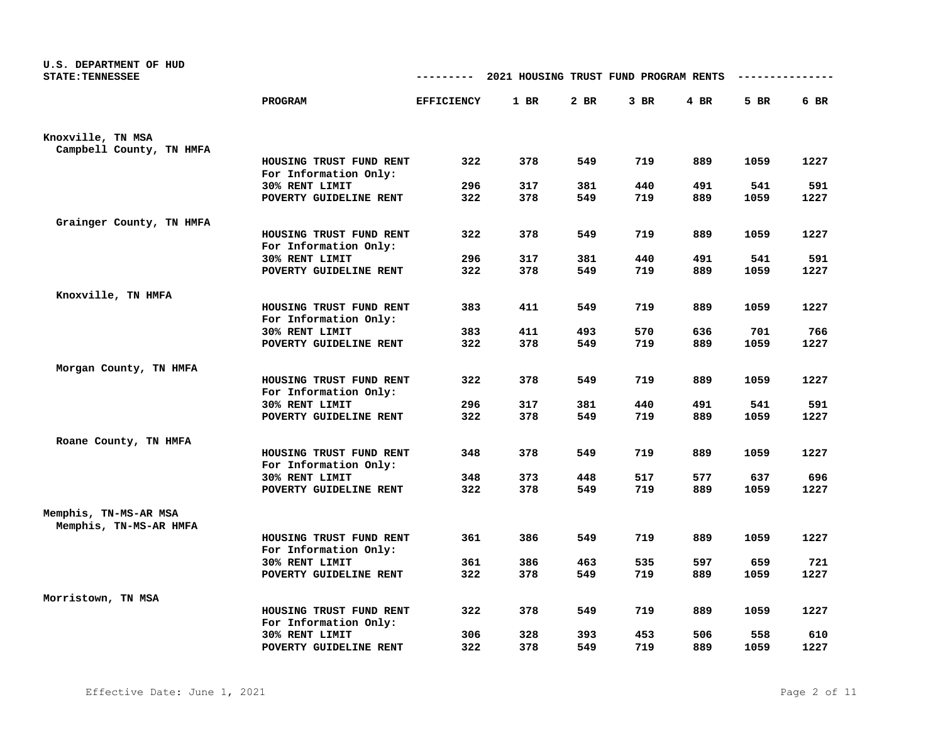| U.S. DEPARTMENT OF HUD<br><b>STATE: TENNESSEE</b> |                                                  | ---------         | 2021 HOUSING TRUST FUND PROGRAM RENTS |            |            |        |             |             |
|---------------------------------------------------|--------------------------------------------------|-------------------|---------------------------------------|------------|------------|--------|-------------|-------------|
|                                                   | PROGRAM                                          | <b>EFFICIENCY</b> | $1$ BR                                | 2 BR       | 3 BR       | $4$ BR | 5 BR        | 6 BR        |
| Knoxville, TN MSA                                 |                                                  |                   |                                       |            |            |        |             |             |
| Campbell County, TN HMFA                          |                                                  |                   |                                       |            |            |        |             |             |
|                                                   | HOUSING TRUST FUND RENT<br>For Information Only: | 322               | 378                                   | 549        | 719        | 889    | 1059        | 1227        |
|                                                   | 30% RENT LIMIT                                   | 296               | 317                                   | 381        | 440        | 491    | 541         | 591         |
|                                                   | POVERTY GUIDELINE RENT                           | 322               | 378                                   | 549        | 719        | 889    | 1059        | 1227        |
| Grainger County, TN HMFA                          |                                                  |                   |                                       |            |            |        |             |             |
|                                                   | HOUSING TRUST FUND RENT<br>For Information Only: | 322               | 378                                   | 549        | 719        | 889    | 1059        | 1227        |
|                                                   | 30% RENT LIMIT                                   | 296               | 317                                   | 381        | 440        | 491    | 541         | 591         |
|                                                   | POVERTY GUIDELINE RENT                           | 322               | 378                                   | 549        | 719        | 889    | 1059        | 1227        |
| Knoxville, TN HMFA                                |                                                  |                   |                                       |            |            |        |             |             |
|                                                   | HOUSING TRUST FUND RENT<br>For Information Only: | 383               | 411                                   | 549        | 719        | 889    | 1059        | 1227        |
|                                                   | 30% RENT LIMIT                                   | 383               | 411                                   | 493        | 570        | 636    | 701         | 766         |
|                                                   | POVERTY GUIDELINE RENT                           | 322               | 378                                   | 549        | 719        | 889    | 1059        | 1227        |
| Morgan County, TN HMFA                            |                                                  |                   |                                       |            |            |        |             |             |
|                                                   | HOUSING TRUST FUND RENT                          | 322               | 378                                   | 549        | 719        | 889    | 1059        | 1227        |
|                                                   | For Information Only:                            | 296               |                                       |            |            | 491    |             |             |
|                                                   | 30% RENT LIMIT<br>POVERTY GUIDELINE RENT         | 322               | 317<br>378                            | 381<br>549 | 440<br>719 | 889    | 541<br>1059 | 591<br>1227 |
|                                                   |                                                  |                   |                                       |            |            |        |             |             |
| Roane County, TN HMFA                             |                                                  |                   |                                       |            |            |        |             |             |
|                                                   | HOUSING TRUST FUND RENT<br>For Information Only: | 348               | 378                                   | 549        | 719        | 889    | 1059        | 1227        |
|                                                   | 30% RENT LIMIT                                   | 348               | 373                                   | 448        | 517        | 577    | 637         | 696         |
|                                                   | POVERTY GUIDELINE RENT                           | 322               | 378                                   | 549        | 719        | 889    | 1059        | 1227        |
| Memphis, TN-MS-AR MSA<br>Memphis, TN-MS-AR HMFA   |                                                  |                   |                                       |            |            |        |             |             |
|                                                   | HOUSING TRUST FUND RENT                          | 361               | 386                                   | 549        | 719        | 889    | 1059        | 1227        |
|                                                   | For Information Only:<br>30% RENT LIMIT          | 361               | 386                                   | 463        | 535        | 597    | 659         | 721         |
|                                                   | POVERTY GUIDELINE RENT                           | 322               | 378                                   | 549        | 719        | 889    | 1059        | 1227        |
|                                                   |                                                  |                   |                                       |            |            |        |             |             |
| Morristown, TN MSA                                |                                                  |                   |                                       |            |            |        |             |             |
|                                                   | HOUSING TRUST FUND RENT<br>For Information Only: | 322               | 378                                   | 549        | 719        | 889    | 1059        | 1227        |
|                                                   | 30% RENT LIMIT                                   | 306               | 328                                   | 393        | 453        | 506    | 558         | 610         |
|                                                   | POVERTY GUIDELINE RENT                           | 322               | 378                                   | 549        | 719        | 889    | 1059        | 1227        |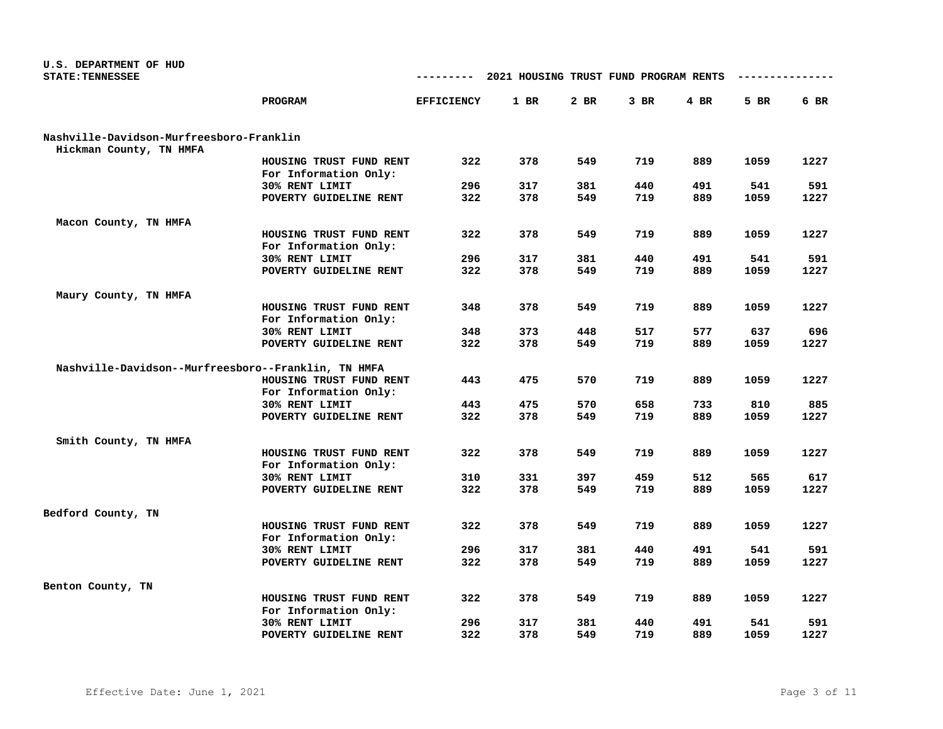| U.S. DEPARTMENT OF HUD<br><b>STATE: TENNESSEE</b>   |                                                  | ---------         | 2021 HOUSING TRUST FUND PROGRAM RENTS |            |            |            | ----------  |             |
|-----------------------------------------------------|--------------------------------------------------|-------------------|---------------------------------------|------------|------------|------------|-------------|-------------|
|                                                     | PROGRAM                                          | <b>EFFICIENCY</b> | 1 BR                                  | $2$ BR     | $3$ BR     | 4 BR       | 5 BR        | 6 BR        |
| Nashville-Davidson-Murfreesboro-Franklin            |                                                  |                   |                                       |            |            |            |             |             |
| Hickman County, TN HMFA                             |                                                  |                   |                                       |            |            |            |             |             |
|                                                     | HOUSING TRUST FUND RENT                          | 322               | 378                                   | 549        | 719        | 889        | 1059        | 1227        |
|                                                     | For Information Only:                            |                   |                                       |            |            |            |             |             |
|                                                     | 30% RENT LIMIT<br>POVERTY GUIDELINE RENT         | 296<br>322        | 317<br>378                            | 381<br>549 | 440<br>719 | 491<br>889 | 541<br>1059 | 591<br>1227 |
|                                                     |                                                  |                   |                                       |            |            |            |             |             |
| Macon County, TN HMFA                               |                                                  |                   |                                       |            |            |            |             |             |
|                                                     | HOUSING TRUST FUND RENT<br>For Information Only: | 322               | 378                                   | 549        | 719        | 889        | 1059        | 1227        |
|                                                     | 30% RENT LIMIT                                   | 296               | 317                                   | 381        | 440        | 491        | 541         | 591         |
|                                                     | POVERTY GUIDELINE RENT                           | 322               | 378                                   | 549        | 719        | 889        | 1059        | 1227        |
|                                                     |                                                  |                   |                                       |            |            |            |             |             |
| Maury County, TN HMFA                               |                                                  |                   |                                       |            |            |            |             |             |
|                                                     | HOUSING TRUST FUND RENT                          | 348               | 378                                   | 549        | 719        | 889        | 1059        | 1227        |
|                                                     | For Information Only:                            |                   |                                       |            |            |            |             |             |
|                                                     | 30% RENT LIMIT                                   | 348               | 373                                   | 448        | 517        | 577        | 637         | 696         |
|                                                     | POVERTY GUIDELINE RENT                           | 322               | 378                                   | 549        | 719        | 889        | 1059        | 1227        |
|                                                     |                                                  |                   |                                       |            |            |            |             |             |
| Nashville-Davidson--Murfreesboro--Franklin, TN HMFA | HOUSING TRUST FUND RENT                          | 443               | 475                                   | 570        | 719        | 889        | 1059        | 1227        |
|                                                     | For Information Only:                            |                   |                                       |            |            |            |             |             |
|                                                     | 30% RENT LIMIT                                   | 443               | 475                                   | 570        | 658        | 733        | 810         | 885         |
|                                                     | POVERTY GUIDELINE RENT                           | 322               | 378                                   | 549        | 719        | 889        | 1059        | 1227        |
|                                                     |                                                  |                   |                                       |            |            |            |             |             |
| Smith County, TN HMFA                               |                                                  |                   |                                       |            |            |            |             |             |
|                                                     | HOUSING TRUST FUND RENT                          | 322               | 378                                   | 549        | 719        | 889        | 1059        | 1227        |
|                                                     | For Information Only:                            |                   |                                       |            |            |            |             |             |
|                                                     | 30% RENT LIMIT                                   | 310               | 331                                   | 397        | 459        | 512        | 565         | 617         |
|                                                     | POVERTY GUIDELINE RENT                           | 322               | 378                                   | 549        | 719        | 889        | 1059        | 1227        |
|                                                     |                                                  |                   |                                       |            |            |            |             |             |
| Bedford County, TN                                  | HOUSING TRUST FUND RENT                          | 322               | 378                                   | 549        | 719        | 889        | 1059        | 1227        |
|                                                     | For Information Only:                            |                   |                                       |            |            |            |             |             |
|                                                     | 30% RENT LIMIT                                   | 296               | 317                                   | 381        | 440        | 491        | 541         | 591         |
|                                                     | POVERTY GUIDELINE RENT                           | 322               | 378                                   | 549        | 719        | 889        | 1059        | 1227        |
|                                                     |                                                  |                   |                                       |            |            |            |             |             |
| Benton County, TN                                   |                                                  |                   |                                       |            |            |            |             |             |
|                                                     | HOUSING TRUST FUND RENT                          | 322               | 378                                   | 549        | 719        | 889        | 1059        | 1227        |
|                                                     | For Information Only:                            |                   |                                       |            |            |            |             |             |
|                                                     | 30% RENT LIMIT                                   | 296               | 317                                   | 381        | 440        | 491        | 541         | 591         |
|                                                     | POVERTY GUIDELINE RENT                           | 322               | 378                                   | 549        | 719        | 889        | 1059        | 1227        |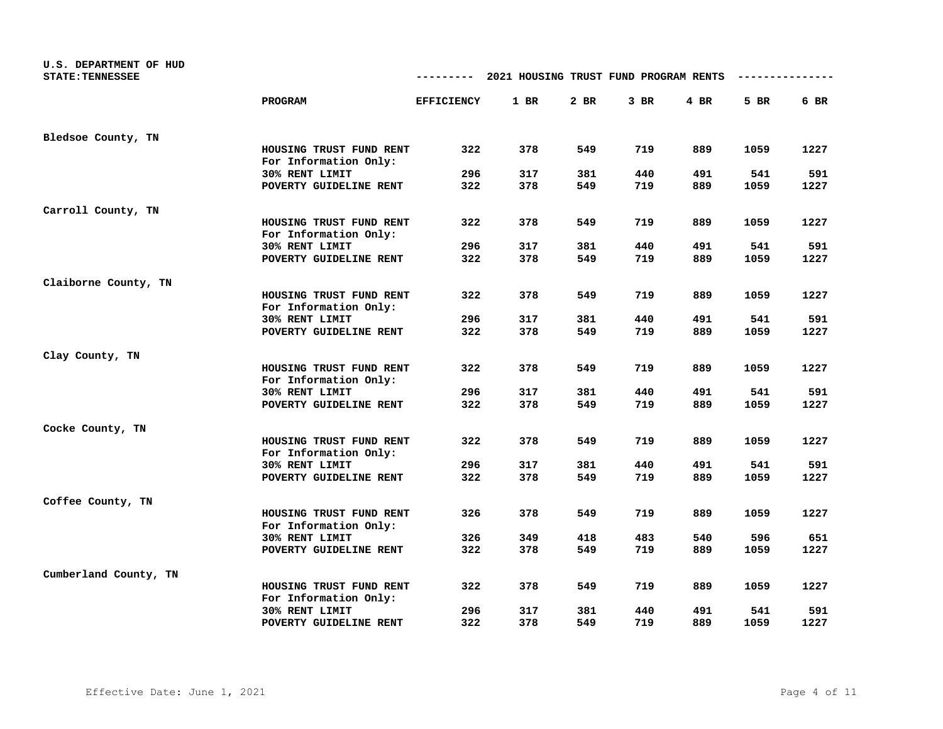| U.S. DEPARTMENT OF HUD<br><b>STATE: TENNESSEE</b> |                                                  | ---------         | 2021 HOUSING TRUST FUND PROGRAM RENTS |        |        |        |      |      |
|---------------------------------------------------|--------------------------------------------------|-------------------|---------------------------------------|--------|--------|--------|------|------|
|                                                   | PROGRAM                                          | <b>EFFICIENCY</b> | 1 BR                                  | $2$ BR | $3$ BR | $4$ BR | 5 BR | 6 BR |
| Bledsoe County, TN                                |                                                  |                   |                                       |        |        |        |      |      |
|                                                   | HOUSING TRUST FUND RENT<br>For Information Only: | 322               | 378                                   | 549    | 719    | 889    | 1059 | 1227 |
|                                                   | 30% RENT LIMIT                                   | 296               | 317                                   | 381    | 440    | 491    | 541  | 591  |
|                                                   | POVERTY GUIDELINE RENT                           | 322               | 378                                   | 549    | 719    | 889    | 1059 | 1227 |
| Carroll County, TN                                |                                                  |                   |                                       |        |        |        |      |      |
|                                                   | HOUSING TRUST FUND RENT<br>For Information Only: | 322               | 378                                   | 549    | 719    | 889    | 1059 | 1227 |
|                                                   | 30% RENT LIMIT                                   | 296               | 317                                   | 381    | 440    | 491    | 541  | 591  |
|                                                   | POVERTY GUIDELINE RENT                           | 322               | 378                                   | 549    | 719    | 889    | 1059 | 1227 |
| Claiborne County, TN                              |                                                  |                   |                                       |        |        |        |      |      |
|                                                   | HOUSING TRUST FUND RENT<br>For Information Only: | 322               | 378                                   | 549    | 719    | 889    | 1059 | 1227 |
|                                                   | 30% RENT LIMIT                                   | 296               | 317                                   | 381    | 440    | 491    | 541  | 591  |
|                                                   | POVERTY GUIDELINE RENT                           | 322               | 378                                   | 549    | 719    | 889    | 1059 | 1227 |
| Clay County, TN                                   |                                                  |                   |                                       |        |        |        |      |      |
|                                                   | HOUSING TRUST FUND RENT<br>For Information Only: | 322               | 378                                   | 549    | 719    | 889    | 1059 | 1227 |
|                                                   | 30% RENT LIMIT                                   | 296               | 317                                   | 381    | 440    | 491    | 541  | 591  |
|                                                   | POVERTY GUIDELINE RENT                           | 322               | 378                                   | 549    | 719    | 889    | 1059 | 1227 |
| Cocke County, TN                                  |                                                  |                   |                                       |        |        |        |      |      |
|                                                   | HOUSING TRUST FUND RENT<br>For Information Only: | 322               | 378                                   | 549    | 719    | 889    | 1059 | 1227 |
|                                                   | 30% RENT LIMIT                                   | 296               | 317                                   | 381    | 440    | 491    | 541  | 591  |
|                                                   | POVERTY GUIDELINE RENT                           | 322               | 378                                   | 549    | 719    | 889    | 1059 | 1227 |
| Coffee County, TN                                 |                                                  |                   |                                       |        |        |        |      |      |
|                                                   | HOUSING TRUST FUND RENT<br>For Information Only: | 326               | 378                                   | 549    | 719    | 889    | 1059 | 1227 |
|                                                   | 30% RENT LIMIT                                   | 326               | 349                                   | 418    | 483    | 540    | 596  | 651  |
|                                                   | POVERTY GUIDELINE RENT                           | 322               | 378                                   | 549    | 719    | 889    | 1059 | 1227 |
| Cumberland County, TN                             |                                                  |                   |                                       |        |        |        |      |      |
|                                                   | HOUSING TRUST FUND RENT<br>For Information Only: | 322               | 378                                   | 549    | 719    | 889    | 1059 | 1227 |
|                                                   | 30% RENT LIMIT                                   | 296               | 317                                   | 381    | 440    | 491    | 541  | 591  |
|                                                   | POVERTY GUIDELINE RENT                           | 322               | 378                                   | 549    | 719    | 889    | 1059 | 1227 |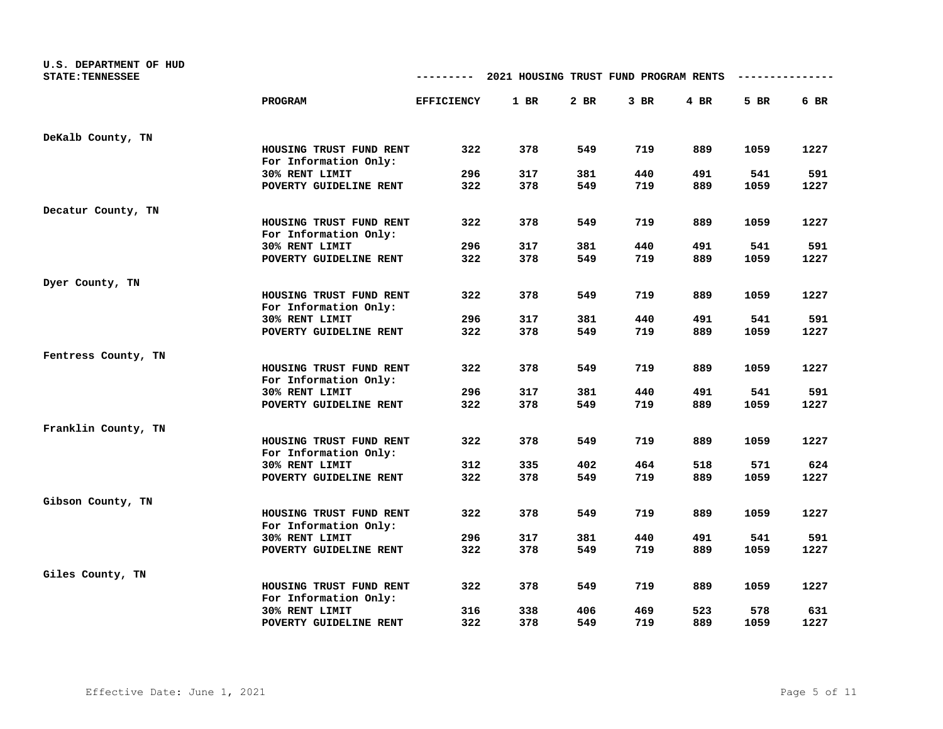| U.S. DEPARTMENT OF HUD<br><b>STATE: TENNESSEE</b> |                                                  | ---------         | 2021 HOUSING TRUST FUND PROGRAM RENTS |        |        |        |      |      |
|---------------------------------------------------|--------------------------------------------------|-------------------|---------------------------------------|--------|--------|--------|------|------|
|                                                   | PROGRAM                                          | <b>EFFICIENCY</b> | 1 BR                                  | $2$ BR | $3$ BR | $4$ BR | 5 BR | 6 BR |
| DeKalb County, TN                                 |                                                  |                   |                                       |        |        |        |      |      |
|                                                   | HOUSING TRUST FUND RENT<br>For Information Only: | 322               | 378                                   | 549    | 719    | 889    | 1059 | 1227 |
|                                                   | 30% RENT LIMIT                                   | 296               | 317                                   | 381    | 440    | 491    | 541  | 591  |
|                                                   | POVERTY GUIDELINE RENT                           | 322               | 378                                   | 549    | 719    | 889    | 1059 | 1227 |
| Decatur County, TN                                |                                                  |                   |                                       |        |        |        |      |      |
|                                                   | HOUSING TRUST FUND RENT<br>For Information Only: | 322               | 378                                   | 549    | 719    | 889    | 1059 | 1227 |
|                                                   | 30% RENT LIMIT                                   | 296               | 317                                   | 381    | 440    | 491    | 541  | 591  |
|                                                   | POVERTY GUIDELINE RENT                           | 322               | 378                                   | 549    | 719    | 889    | 1059 | 1227 |
| Dyer County, TN                                   |                                                  |                   |                                       |        |        |        |      |      |
|                                                   | HOUSING TRUST FUND RENT<br>For Information Only: | 322               | 378                                   | 549    | 719    | 889    | 1059 | 1227 |
|                                                   | 30% RENT LIMIT                                   | 296               | 317                                   | 381    | 440    | 491    | 541  | 591  |
|                                                   | POVERTY GUIDELINE RENT                           | 322               | 378                                   | 549    | 719    | 889    | 1059 | 1227 |
| Fentress County, TN                               |                                                  |                   |                                       |        |        |        |      |      |
|                                                   | HOUSING TRUST FUND RENT<br>For Information Only: | 322               | 378                                   | 549    | 719    | 889    | 1059 | 1227 |
|                                                   | 30% RENT LIMIT                                   | 296               | 317                                   | 381    | 440    | 491    | 541  | 591  |
|                                                   | POVERTY GUIDELINE RENT                           | 322               | 378                                   | 549    | 719    | 889    | 1059 | 1227 |
| Franklin County, TN                               |                                                  |                   |                                       |        |        |        |      |      |
|                                                   | HOUSING TRUST FUND RENT<br>For Information Only: | 322               | 378                                   | 549    | 719    | 889    | 1059 | 1227 |
|                                                   | 30% RENT LIMIT                                   | 312               | 335                                   | 402    | 464    | 518    | 571  | 624  |
|                                                   | POVERTY GUIDELINE RENT                           | 322               | 378                                   | 549    | 719    | 889    | 1059 | 1227 |
| Gibson County, TN                                 |                                                  |                   |                                       |        |        |        |      |      |
|                                                   | HOUSING TRUST FUND RENT<br>For Information Only: | 322               | 378                                   | 549    | 719    | 889    | 1059 | 1227 |
|                                                   | 30% RENT LIMIT                                   | 296               | 317                                   | 381    | 440    | 491    | 541  | 591  |
|                                                   | POVERTY GUIDELINE RENT                           | 322               | 378                                   | 549    | 719    | 889    | 1059 | 1227 |
| Giles County, TN                                  |                                                  |                   |                                       |        |        |        |      |      |
|                                                   | HOUSING TRUST FUND RENT<br>For Information Only: | 322               | 378                                   | 549    | 719    | 889    | 1059 | 1227 |
|                                                   | 30% RENT LIMIT                                   | 316               | 338                                   | 406    | 469    | 523    | 578  | 631  |
|                                                   | POVERTY GUIDELINE RENT                           | 322               | 378                                   | 549    | 719    | 889    | 1059 | 1227 |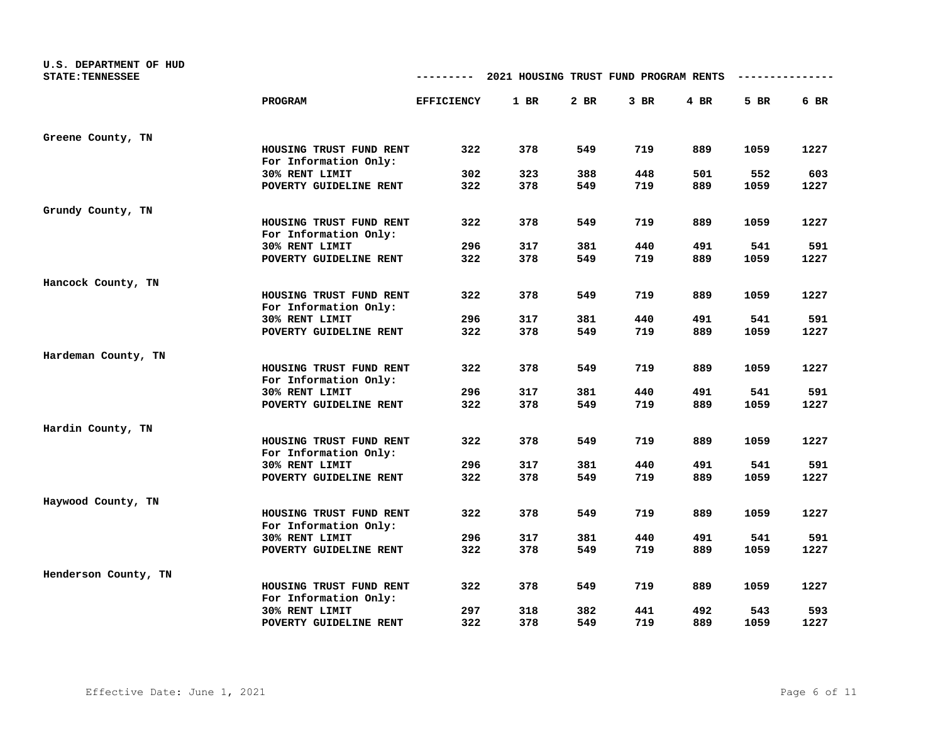| U.S. DEPARTMENT OF HUD<br><b>STATE: TENNESSEE</b> |                                                  | ---------         | 2021 HOUSING TRUST FUND PROGRAM RENTS |      |        |        |      |      |
|---------------------------------------------------|--------------------------------------------------|-------------------|---------------------------------------|------|--------|--------|------|------|
|                                                   | PROGRAM                                          | <b>EFFICIENCY</b> | 1 BR                                  | 2 BR | $3$ BR | $4$ BR | 5 BR | 6 BR |
| Greene County, TN                                 |                                                  |                   |                                       |      |        |        |      |      |
|                                                   | HOUSING TRUST FUND RENT<br>For Information Only: | 322               | 378                                   | 549  | 719    | 889    | 1059 | 1227 |
|                                                   | 30% RENT LIMIT                                   | 302               | 323                                   | 388  | 448    | 501    | 552  | 603  |
|                                                   | POVERTY GUIDELINE RENT                           | 322               | 378                                   | 549  | 719    | 889    | 1059 | 1227 |
| Grundy County, TN                                 |                                                  |                   |                                       |      |        |        |      |      |
|                                                   | HOUSING TRUST FUND RENT<br>For Information Only: | 322               | 378                                   | 549  | 719    | 889    | 1059 | 1227 |
|                                                   | 30% RENT LIMIT                                   | 296               | 317                                   | 381  | 440    | 491    | 541  | 591  |
|                                                   | POVERTY GUIDELINE RENT                           | 322               | 378                                   | 549  | 719    | 889    | 1059 | 1227 |
| Hancock County, TN                                |                                                  |                   |                                       |      |        |        |      |      |
|                                                   | HOUSING TRUST FUND RENT<br>For Information Only: | 322               | 378                                   | 549  | 719    | 889    | 1059 | 1227 |
|                                                   | 30% RENT LIMIT                                   | 296               | 317                                   | 381  | 440    | 491    | 541  | 591  |
|                                                   | POVERTY GUIDELINE RENT                           | 322               | 378                                   | 549  | 719    | 889    | 1059 | 1227 |
| Hardeman County, TN                               |                                                  |                   |                                       |      |        |        |      |      |
|                                                   | HOUSING TRUST FUND RENT<br>For Information Only: | 322               | 378                                   | 549  | 719    | 889    | 1059 | 1227 |
|                                                   | 30% RENT LIMIT                                   | 296               | 317                                   | 381  | 440    | 491    | 541  | 591  |
|                                                   | POVERTY GUIDELINE RENT                           | 322               | 378                                   | 549  | 719    | 889    | 1059 | 1227 |
| Hardin County, TN                                 |                                                  |                   |                                       |      |        |        |      |      |
|                                                   | HOUSING TRUST FUND RENT<br>For Information Only: | 322               | 378                                   | 549  | 719    | 889    | 1059 | 1227 |
|                                                   | 30% RENT LIMIT                                   | 296               | 317                                   | 381  | 440    | 491    | 541  | 591  |
|                                                   | POVERTY GUIDELINE RENT                           | 322               | 378                                   | 549  | 719    | 889    | 1059 | 1227 |
| Haywood County, TN                                |                                                  |                   |                                       |      |        |        |      |      |
|                                                   | HOUSING TRUST FUND RENT<br>For Information Only: | 322               | 378                                   | 549  | 719    | 889    | 1059 | 1227 |
|                                                   | 30% RENT LIMIT                                   | 296               | 317                                   | 381  | 440    | 491    | 541  | 591  |
|                                                   | POVERTY GUIDELINE RENT                           | 322               | 378                                   | 549  | 719    | 889    | 1059 | 1227 |
| Henderson County, TN                              |                                                  |                   |                                       |      |        |        |      |      |
|                                                   | HOUSING TRUST FUND RENT<br>For Information Only: | 322               | 378                                   | 549  | 719    | 889    | 1059 | 1227 |
|                                                   | 30% RENT LIMIT                                   | 297               | 318                                   | 382  | 441    | 492    | 543  | 593  |
|                                                   | POVERTY GUIDELINE RENT                           | 322               | 378                                   | 549  | 719    | 889    | 1059 | 1227 |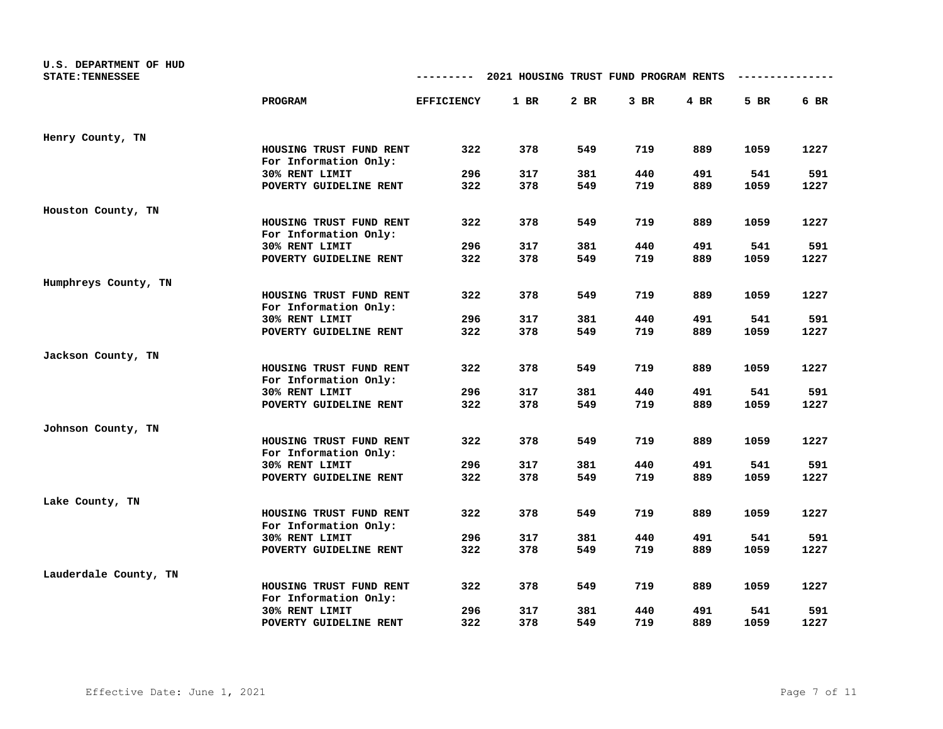| U.S. DEPARTMENT OF HUD<br><b>STATE: TENNESSEE</b> |                                                  | ---------         | 2021 HOUSING TRUST FUND PROGRAM RENTS |      |        |        |      |      |
|---------------------------------------------------|--------------------------------------------------|-------------------|---------------------------------------|------|--------|--------|------|------|
|                                                   | PROGRAM                                          | <b>EFFICIENCY</b> | 1 BR                                  | 2 BR | $3$ BR | $4$ BR | 5 BR | 6 BR |
| Henry County, TN                                  |                                                  |                   |                                       |      |        |        |      |      |
|                                                   | HOUSING TRUST FUND RENT<br>For Information Only: | 322               | 378                                   | 549  | 719    | 889    | 1059 | 1227 |
|                                                   | 30% RENT LIMIT                                   | 296               | 317                                   | 381  | 440    | 491    | 541  | 591  |
|                                                   | POVERTY GUIDELINE RENT                           | 322               | 378                                   | 549  | 719    | 889    | 1059 | 1227 |
| Houston County, TN                                |                                                  |                   |                                       |      |        |        |      |      |
|                                                   | HOUSING TRUST FUND RENT<br>For Information Only: | 322               | 378                                   | 549  | 719    | 889    | 1059 | 1227 |
|                                                   | 30% RENT LIMIT                                   | 296               | 317                                   | 381  | 440    | 491    | 541  | 591  |
|                                                   | POVERTY GUIDELINE RENT                           | 322               | 378                                   | 549  | 719    | 889    | 1059 | 1227 |
| Humphreys County, TN                              |                                                  |                   |                                       |      |        |        |      |      |
|                                                   | HOUSING TRUST FUND RENT<br>For Information Only: | 322               | 378                                   | 549  | 719    | 889    | 1059 | 1227 |
|                                                   | 30% RENT LIMIT                                   | 296               | 317                                   | 381  | 440    | 491    | 541  | 591  |
|                                                   | POVERTY GUIDELINE RENT                           | 322               | 378                                   | 549  | 719    | 889    | 1059 | 1227 |
| Jackson County, TN                                |                                                  |                   |                                       |      |        |        |      |      |
|                                                   | HOUSING TRUST FUND RENT<br>For Information Only: | 322               | 378                                   | 549  | 719    | 889    | 1059 | 1227 |
|                                                   | 30% RENT LIMIT                                   | 296               | 317                                   | 381  | 440    | 491    | 541  | 591  |
|                                                   | POVERTY GUIDELINE RENT                           | 322               | 378                                   | 549  | 719    | 889    | 1059 | 1227 |
| Johnson County, TN                                |                                                  |                   |                                       |      |        |        |      |      |
|                                                   | HOUSING TRUST FUND RENT<br>For Information Only: | 322               | 378                                   | 549  | 719    | 889    | 1059 | 1227 |
|                                                   | 30% RENT LIMIT                                   | 296               | 317                                   | 381  | 440    | 491    | 541  | 591  |
|                                                   | POVERTY GUIDELINE RENT                           | 322               | 378                                   | 549  | 719    | 889    | 1059 | 1227 |
| Lake County, TN                                   |                                                  |                   |                                       |      |        |        |      |      |
|                                                   | HOUSING TRUST FUND RENT<br>For Information Only: | 322               | 378                                   | 549  | 719    | 889    | 1059 | 1227 |
|                                                   | 30% RENT LIMIT                                   | 296               | 317                                   | 381  | 440    | 491    | 541  | 591  |
|                                                   | POVERTY GUIDELINE RENT                           | 322               | 378                                   | 549  | 719    | 889    | 1059 | 1227 |
| Lauderdale County, TN                             |                                                  |                   |                                       |      |        |        |      |      |
|                                                   | HOUSING TRUST FUND RENT<br>For Information Only: | 322               | 378                                   | 549  | 719    | 889    | 1059 | 1227 |
|                                                   | 30% RENT LIMIT                                   | 296               | 317                                   | 381  | 440    | 491    | 541  | 591  |
|                                                   | POVERTY GUIDELINE RENT                           | 322               | 378                                   | 549  | 719    | 889    | 1059 | 1227 |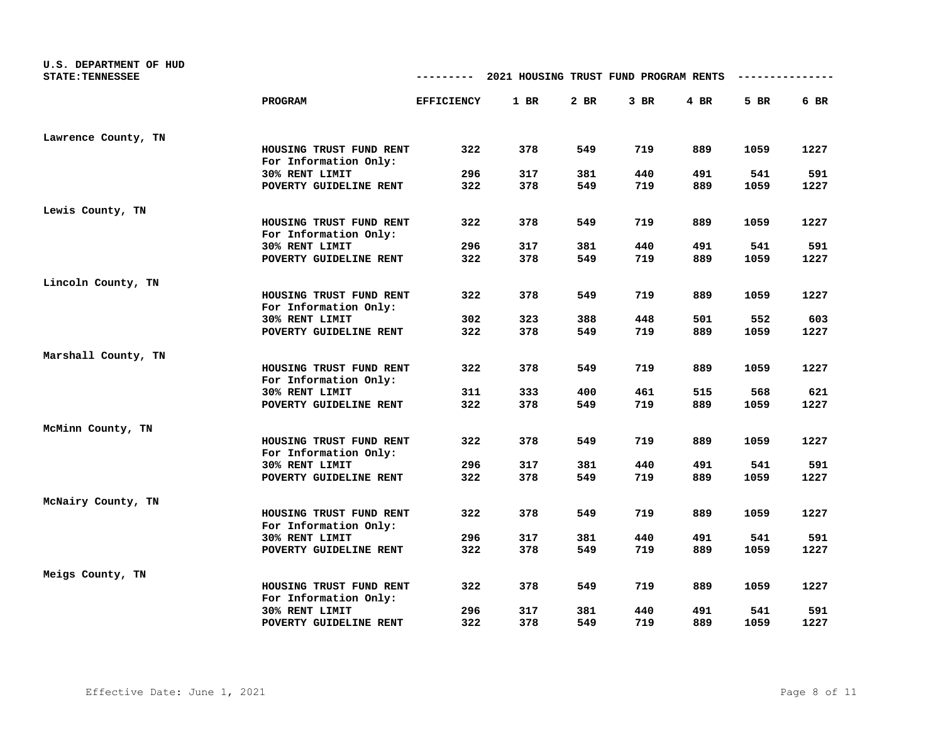| U.S. DEPARTMENT OF HUD<br><b>STATE: TENNESSEE</b> |                                                  | ---------         | 2021 HOUSING TRUST FUND PROGRAM RENTS |      |        |        |      |      |
|---------------------------------------------------|--------------------------------------------------|-------------------|---------------------------------------|------|--------|--------|------|------|
|                                                   | PROGRAM                                          | <b>EFFICIENCY</b> | 1 BR                                  | 2 BR | $3$ BR | $4$ BR | 5 BR | 6 BR |
| Lawrence County, TN                               |                                                  |                   |                                       |      |        |        |      |      |
|                                                   | HOUSING TRUST FUND RENT<br>For Information Only: | 322               | 378                                   | 549  | 719    | 889    | 1059 | 1227 |
|                                                   | 30% RENT LIMIT                                   | 296               | 317                                   | 381  | 440    | 491    | 541  | 591  |
|                                                   | POVERTY GUIDELINE RENT                           | 322               | 378                                   | 549  | 719    | 889    | 1059 | 1227 |
| Lewis County, TN                                  |                                                  |                   |                                       |      |        |        |      |      |
|                                                   | HOUSING TRUST FUND RENT<br>For Information Only: | 322               | 378                                   | 549  | 719    | 889    | 1059 | 1227 |
|                                                   | 30% RENT LIMIT                                   | 296               | 317                                   | 381  | 440    | 491    | 541  | 591  |
|                                                   | POVERTY GUIDELINE RENT                           | 322               | 378                                   | 549  | 719    | 889    | 1059 | 1227 |
| Lincoln County, TN                                |                                                  |                   |                                       |      |        |        |      |      |
|                                                   | HOUSING TRUST FUND RENT<br>For Information Only: | 322               | 378                                   | 549  | 719    | 889    | 1059 | 1227 |
|                                                   | 30% RENT LIMIT                                   | 302               | 323                                   | 388  | 448    | 501    | 552  | 603  |
|                                                   | POVERTY GUIDELINE RENT                           | 322               | 378                                   | 549  | 719    | 889    | 1059 | 1227 |
| Marshall County, TN                               |                                                  |                   |                                       |      |        |        |      |      |
|                                                   | HOUSING TRUST FUND RENT<br>For Information Only: | 322               | 378                                   | 549  | 719    | 889    | 1059 | 1227 |
|                                                   | 30% RENT LIMIT                                   | 311               | 333                                   | 400  | 461    | 515    | 568  | 621  |
|                                                   | POVERTY GUIDELINE RENT                           | 322               | 378                                   | 549  | 719    | 889    | 1059 | 1227 |
| McMinn County, TN                                 |                                                  |                   |                                       |      |        |        |      |      |
|                                                   | HOUSING TRUST FUND RENT<br>For Information Only: | 322               | 378                                   | 549  | 719    | 889    | 1059 | 1227 |
|                                                   | 30% RENT LIMIT                                   | 296               | 317                                   | 381  | 440    | 491    | 541  | 591  |
|                                                   | POVERTY GUIDELINE RENT                           | 322               | 378                                   | 549  | 719    | 889    | 1059 | 1227 |
| McNairy County, TN                                |                                                  |                   |                                       |      |        |        |      |      |
|                                                   | HOUSING TRUST FUND RENT<br>For Information Only: | 322               | 378                                   | 549  | 719    | 889    | 1059 | 1227 |
|                                                   | 30% RENT LIMIT                                   | 296               | 317                                   | 381  | 440    | 491    | 541  | 591  |
|                                                   | POVERTY GUIDELINE RENT                           | 322               | 378                                   | 549  | 719    | 889    | 1059 | 1227 |
| Meigs County, TN                                  |                                                  |                   |                                       |      |        |        |      |      |
|                                                   | HOUSING TRUST FUND RENT<br>For Information Only: | 322               | 378                                   | 549  | 719    | 889    | 1059 | 1227 |
|                                                   | 30% RENT LIMIT                                   | 296               | 317                                   | 381  | 440    | 491    | 541  | 591  |
|                                                   | POVERTY GUIDELINE RENT                           | 322               | 378                                   | 549  | 719    | 889    | 1059 | 1227 |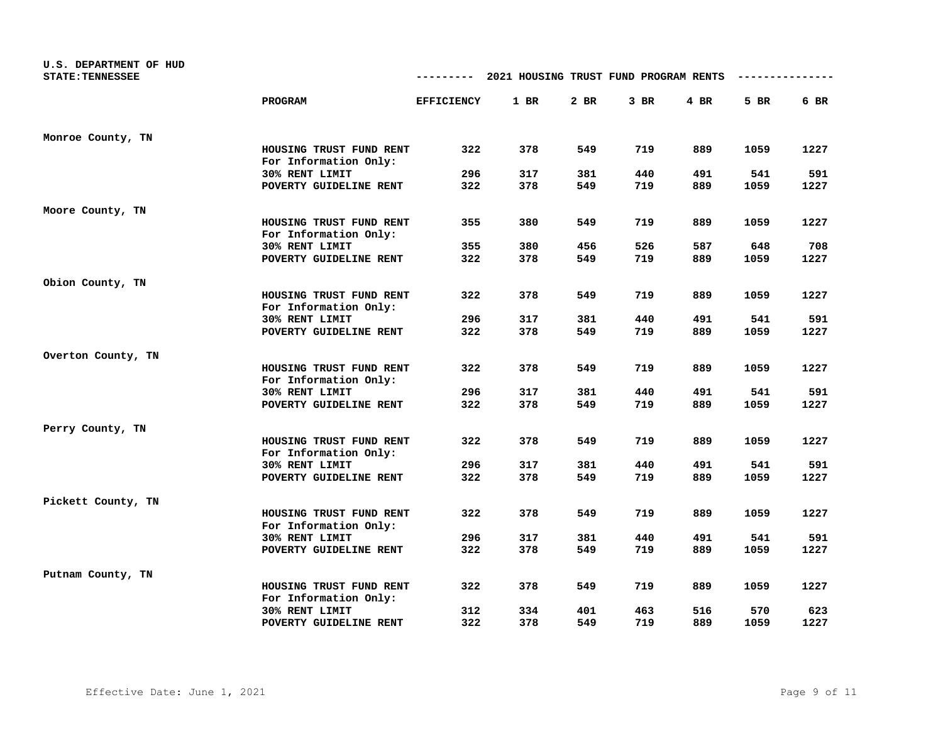| U.S. DEPARTMENT OF HUD<br><b>STATE: TENNESSEE</b> |                                                  | ---------         | 2021 HOUSING TRUST FUND PROGRAM RENTS |      |        |        |      |      |
|---------------------------------------------------|--------------------------------------------------|-------------------|---------------------------------------|------|--------|--------|------|------|
|                                                   | PROGRAM                                          | <b>EFFICIENCY</b> | 1 BR                                  | 2 BR | $3$ BR | $4$ BR | 5 BR | 6 BR |
| Monroe County, TN                                 |                                                  |                   |                                       |      |        |        |      |      |
|                                                   | HOUSING TRUST FUND RENT<br>For Information Only: | 322               | 378                                   | 549  | 719    | 889    | 1059 | 1227 |
|                                                   | 30% RENT LIMIT                                   | 296               | 317                                   | 381  | 440    | 491    | 541  | 591  |
|                                                   | POVERTY GUIDELINE RENT                           | 322               | 378                                   | 549  | 719    | 889    | 1059 | 1227 |
| Moore County, TN                                  |                                                  |                   |                                       |      |        |        |      |      |
|                                                   | HOUSING TRUST FUND RENT<br>For Information Only: | 355               | 380                                   | 549  | 719    | 889    | 1059 | 1227 |
|                                                   | 30% RENT LIMIT                                   | 355               | 380                                   | 456  | 526    | 587    | 648  | 708  |
|                                                   | POVERTY GUIDELINE RENT                           | 322               | 378                                   | 549  | 719    | 889    | 1059 | 1227 |
| Obion County, TN                                  |                                                  |                   |                                       |      |        |        |      |      |
|                                                   | HOUSING TRUST FUND RENT<br>For Information Only: | 322               | 378                                   | 549  | 719    | 889    | 1059 | 1227 |
|                                                   | 30% RENT LIMIT                                   | 296               | 317                                   | 381  | 440    | 491    | 541  | 591  |
|                                                   | POVERTY GUIDELINE RENT                           | 322               | 378                                   | 549  | 719    | 889    | 1059 | 1227 |
| Overton County, TN                                |                                                  |                   |                                       |      |        |        |      |      |
|                                                   | HOUSING TRUST FUND RENT<br>For Information Only: | 322               | 378                                   | 549  | 719    | 889    | 1059 | 1227 |
|                                                   | 30% RENT LIMIT                                   | 296               | 317                                   | 381  | 440    | 491    | 541  | 591  |
|                                                   | POVERTY GUIDELINE RENT                           | 322               | 378                                   | 549  | 719    | 889    | 1059 | 1227 |
| Perry County, TN                                  |                                                  |                   |                                       |      |        |        |      |      |
|                                                   | HOUSING TRUST FUND RENT<br>For Information Only: | 322               | 378                                   | 549  | 719    | 889    | 1059 | 1227 |
|                                                   | 30% RENT LIMIT                                   | 296               | 317                                   | 381  | 440    | 491    | 541  | 591  |
|                                                   | POVERTY GUIDELINE RENT                           | 322               | 378                                   | 549  | 719    | 889    | 1059 | 1227 |
| Pickett County, TN                                |                                                  |                   |                                       |      |        |        |      |      |
|                                                   | HOUSING TRUST FUND RENT<br>For Information Only: | 322               | 378                                   | 549  | 719    | 889    | 1059 | 1227 |
|                                                   | 30% RENT LIMIT                                   | 296               | 317                                   | 381  | 440    | 491    | 541  | 591  |
|                                                   | POVERTY GUIDELINE RENT                           | 322               | 378                                   | 549  | 719    | 889    | 1059 | 1227 |
| Putnam County, TN                                 |                                                  |                   |                                       |      |        |        |      |      |
|                                                   | HOUSING TRUST FUND RENT<br>For Information Only: | 322               | 378                                   | 549  | 719    | 889    | 1059 | 1227 |
|                                                   | 30% RENT LIMIT                                   | 312               | 334                                   | 401  | 463    | 516    | 570  | 623  |
|                                                   | POVERTY GUIDELINE RENT                           | 322               | 378                                   | 549  | 719    | 889    | 1059 | 1227 |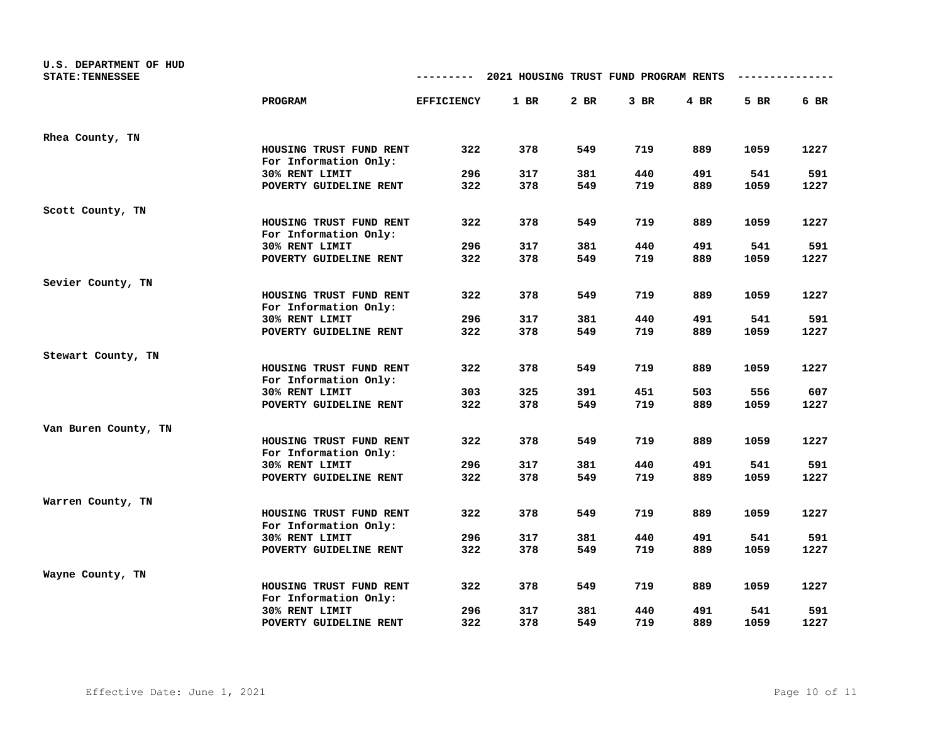| U.S. DEPARTMENT OF HUD<br><b>STATE: TENNESSEE</b> |                                                  | ---------         | 2021 HOUSING TRUST FUND PROGRAM RENTS |      |        |        |      |      |
|---------------------------------------------------|--------------------------------------------------|-------------------|---------------------------------------|------|--------|--------|------|------|
|                                                   | PROGRAM                                          | <b>EFFICIENCY</b> | 1 BR                                  | 2 BR | $3$ BR | $4$ BR | 5 BR | 6 BR |
| Rhea County, TN                                   |                                                  |                   |                                       |      |        |        |      |      |
|                                                   | HOUSING TRUST FUND RENT<br>For Information Only: | 322               | 378                                   | 549  | 719    | 889    | 1059 | 1227 |
|                                                   | 30% RENT LIMIT                                   | 296               | 317                                   | 381  | 440    | 491    | 541  | 591  |
|                                                   | POVERTY GUIDELINE RENT                           | 322               | 378                                   | 549  | 719    | 889    | 1059 | 1227 |
| Scott County, TN                                  |                                                  |                   |                                       |      |        |        |      |      |
|                                                   | HOUSING TRUST FUND RENT<br>For Information Only: | 322               | 378                                   | 549  | 719    | 889    | 1059 | 1227 |
|                                                   | 30% RENT LIMIT                                   | 296               | 317                                   | 381  | 440    | 491    | 541  | 591  |
|                                                   | POVERTY GUIDELINE RENT                           | 322               | 378                                   | 549  | 719    | 889    | 1059 | 1227 |
| Sevier County, TN                                 |                                                  |                   |                                       |      |        |        |      |      |
|                                                   | HOUSING TRUST FUND RENT<br>For Information Only: | 322               | 378                                   | 549  | 719    | 889    | 1059 | 1227 |
|                                                   | 30% RENT LIMIT                                   | 296               | 317                                   | 381  | 440    | 491    | 541  | 591  |
|                                                   | POVERTY GUIDELINE RENT                           | 322               | 378                                   | 549  | 719    | 889    | 1059 | 1227 |
| Stewart County, TN                                |                                                  |                   |                                       |      |        |        |      |      |
|                                                   | HOUSING TRUST FUND RENT<br>For Information Only: | 322               | 378                                   | 549  | 719    | 889    | 1059 | 1227 |
|                                                   | 30% RENT LIMIT                                   | 303               | 325                                   | 391  | 451    | 503    | 556  | 607  |
|                                                   | POVERTY GUIDELINE RENT                           | 322               | 378                                   | 549  | 719    | 889    | 1059 | 1227 |
| Van Buren County, TN                              |                                                  |                   |                                       |      |        |        |      |      |
|                                                   | HOUSING TRUST FUND RENT<br>For Information Only: | 322               | 378                                   | 549  | 719    | 889    | 1059 | 1227 |
|                                                   | 30% RENT LIMIT                                   | 296               | 317                                   | 381  | 440    | 491    | 541  | 591  |
|                                                   | POVERTY GUIDELINE RENT                           | 322               | 378                                   | 549  | 719    | 889    | 1059 | 1227 |
| Warren County, TN                                 |                                                  |                   |                                       |      |        |        |      |      |
|                                                   | HOUSING TRUST FUND RENT<br>For Information Only: | 322               | 378                                   | 549  | 719    | 889    | 1059 | 1227 |
|                                                   | 30% RENT LIMIT                                   | 296               | 317                                   | 381  | 440    | 491    | 541  | 591  |
|                                                   | POVERTY GUIDELINE RENT                           | 322               | 378                                   | 549  | 719    | 889    | 1059 | 1227 |
| Wayne County, TN                                  |                                                  |                   |                                       |      |        |        |      |      |
|                                                   | HOUSING TRUST FUND RENT<br>For Information Only: | 322               | 378                                   | 549  | 719    | 889    | 1059 | 1227 |
|                                                   | 30% RENT LIMIT                                   | 296               | 317                                   | 381  | 440    | 491    | 541  | 591  |
|                                                   | POVERTY GUIDELINE RENT                           | 322               | 378                                   | 549  | 719    | 889    | 1059 | 1227 |